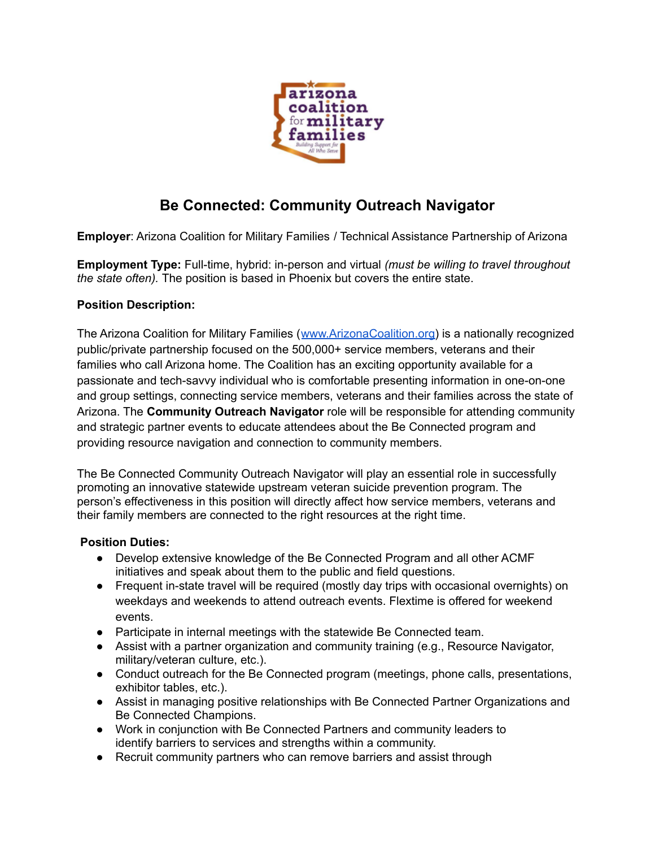

# **Be Connected: Community Outreach Navigator**

**Employer**: Arizona Coalition for Military Families / Technical Assistance Partnership of Arizona

**Employment Type:** Full-time, hybrid: in-person and virtual *(must be willing to travel throughout the state often).* The position is based in Phoenix but covers the entire state.

## **Position Description:**

The Arizona Coalition for Military Families ([www.ArizonaCoalition.org\)](http://www.arizonacoalition.org/) is a nationally recognized public/private partnership focused on the 500,000+ service members, veterans and their families who call Arizona home. The Coalition has an exciting opportunity available for a passionate and tech-savvy individual who is comfortable presenting information in one-on-one and group settings, connecting service members, veterans and their families across the state of Arizona. The **Community Outreach Navigator** role will be responsible for attending community and strategic partner events to educate attendees about the Be Connected program and providing resource navigation and connection to community members.

The Be Connected Community Outreach Navigator will play an essential role in successfully promoting an innovative statewide upstream veteran suicide prevention program. The person's effectiveness in this position will directly affect how service members, veterans and their family members are connected to the right resources at the right time.

### **Position Duties:**

- **●** Develop extensive knowledge of the Be Connected Program and all other ACMF initiatives and speak about them to the public and field questions.
- Frequent in-state travel will be required (mostly day trips with occasional overnights) on weekdays and weekends to attend outreach events. Flextime is offered for weekend events.
- **●** Participate in internal meetings with the statewide Be Connected team.
- **●** Assist with a partner organization and community training (e.g., Resource Navigator, military/veteran culture, etc.).
- **●** Conduct outreach for the Be Connected program (meetings, phone calls, presentations, exhibitor tables, etc.).
- **●** Assist in managing positive relationships with Be Connected Partner Organizations and Be Connected Champions.
- Work in conjunction with Be Connected Partners and community leaders to identify barriers to services and strengths within a community.
- Recruit community partners who can remove barriers and assist through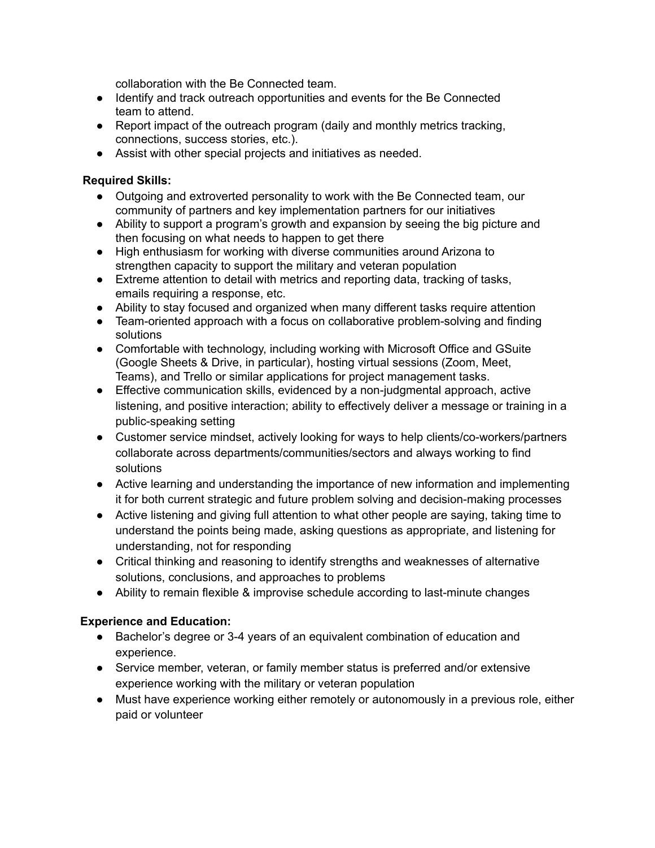collaboration with the Be Connected team.

- **●** Identify and track outreach opportunities and events for the Be Connected team to attend.
- **●** Report impact of the outreach program (daily and monthly metrics tracking, connections, success stories, etc.).
- **●** Assist with other special projects and initiatives as needed.

#### **Required Skills:**

- Outgoing and extroverted personality to work with the Be Connected team, our community of partners and key implementation partners for our initiatives
- Ability to support a program's growth and expansion by seeing the big picture and then focusing on what needs to happen to get there
- High enthusiasm for working with diverse communities around Arizona to strengthen capacity to support the military and veteran population
- Extreme attention to detail with metrics and reporting data, tracking of tasks, emails requiring a response, etc.
- Ability to stay focused and organized when many different tasks require attention
- Team-oriented approach with a focus on collaborative problem-solving and finding solutions
- Comfortable with technology, including working with Microsoft Office and GSuite (Google Sheets & Drive, in particular), hosting virtual sessions (Zoom, Meet, Teams), and Trello or similar applications for project management tasks.
- Effective communication skills, evidenced by a non-judgmental approach, active listening, and positive interaction; ability to effectively deliver a message or training in a public-speaking setting
- Customer service mindset, actively looking for ways to help clients/co-workers/partners collaborate across departments/communities/sectors and always working to find solutions
- Active learning and understanding the importance of new information and implementing it for both current strategic and future problem solving and decision-making processes
- Active listening and giving full attention to what other people are saying, taking time to understand the points being made, asking questions as appropriate, and listening for understanding, not for responding
- Critical thinking and reasoning to identify strengths and weaknesses of alternative solutions, conclusions, and approaches to problems
- Ability to remain flexible & improvise schedule according to last-minute changes

### **Experience and Education:**

- Bachelor's degree or 3-4 years of an equivalent combination of education and experience.
- Service member, veteran, or family member status is preferred and/or extensive experience working with the military or veteran population
- Must have experience working either remotely or autonomously in a previous role, either paid or volunteer